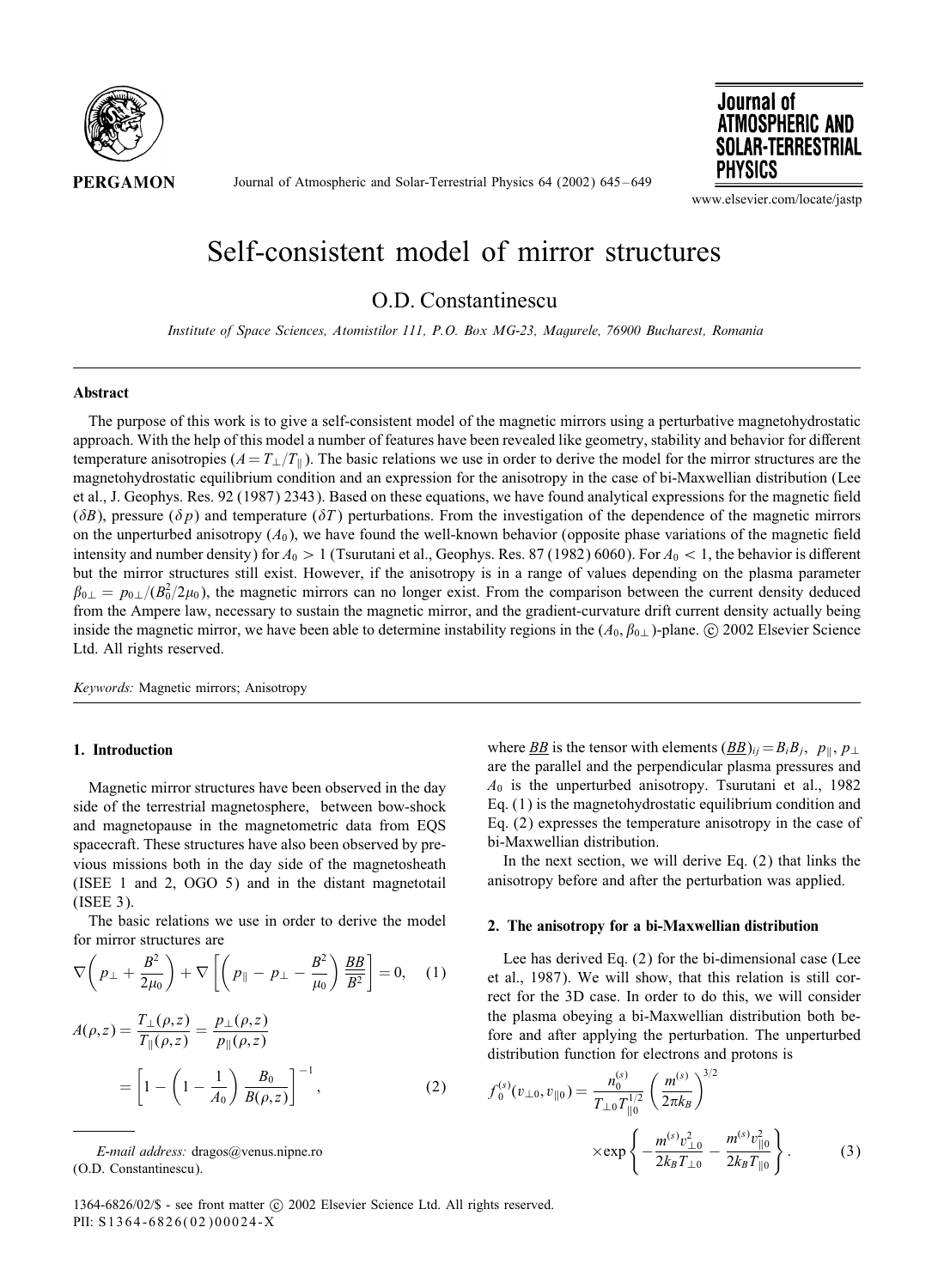

Journal of Atmospheric and Solar-Terrestrial Physics 64 (2002) 645 – 649



www.elsevier.com/locate/jastp

# Self-consistent model of mirror structures

O.D. Constantinescu

*Institute of Space Sciences, Atomistilor 111, P.O. Box MG-23, Magurele, 76900 Bucharest, Romania*

### Abstract

The purpose of this work is to give a self-consistent model of the magnetic mirrors using a perturbative magnetohydrostatic approach. With the help of this model a number of features have been revealed like geometry, stability and behavior for different temperature anisotropies  $(A = T_{\perp}/T_{\parallel})$ . The basic relations we use in order to derive the model for the mirror structures are the magnetohydrostatic equilibrium condition and an expression for the anisotropy in the case of bi-Maxwellian distribution (Lee et al., J. Geophys. Res. 92 (1987) 2343). Based on these equations, we have found analytical expressions for the magnetic field ( $\delta B$ ), pressure ( $\delta p$ ) and temperature ( $\delta T$ ) perturbations. From the investigation of the dependence of the magnetic mirrors on the unperturbed anisotropy  $(A_0)$ , we have found the well-known behavior (opposite phase variations of the magnetic field intensity and number density) for  $A_0 > 1$  (Tsurutani et al., Geophys. Res. 87 (1982) 6060). For  $A_0 < 1$ , the behavior is different but the mirror structures still exist. However, if the anisotropy is in a range of values depending on the plasma parameter  $\beta_{0\perp} = p_{0\perp}/(B_0^2/2\mu_0)$ , the magnetic mirrors can no longer exist. From the comparison between the current density deduced from the Ampere law, necessary to sustain the magnetic mirror, and the gradient-curvature drift current density actually being inside the magnetic mirror, we have been able to determine instability regions in the  $(A_0, \beta_{0\perp})$ -plane. © 2002 Elsevier Science Ltd. All rights reserved.

*Keywords:* Magnetic mirrors; Anisotropy

## 1. Introduction

Magnetic mirror structures have been observed in the day side of the terrestrial magnetosphere, between bow-shock and magnetopause in the magnetometric data from EQS spacecraft. These structures have also been observed by previous missions both in the day side of the magnetosheath (ISEE 1 and 2, OGO 5) and in the distant magnetotail (ISEE 3).

The basic relations we use in order to derive the model for mirror structures are

$$
\nabla \left(p_{\perp} + \frac{B^2}{2\mu_0}\right) + \nabla \left[\left(p_{\parallel} - p_{\perp} - \frac{B^2}{\mu_0}\right) \frac{BB}{B^2}\right] = 0, \quad (1)
$$

$$
A(\rho, z) = \frac{T_{\perp}(\rho, z)}{T_{\parallel}(\rho, z)} = \frac{p_{\perp}(\rho, z)}{p_{\parallel}(\rho, z)}
$$
  
= 
$$
\left[1 - \left(1 - \frac{1}{A_0}\right) \frac{B_0}{B(\rho, z)}\right]^{-1},
$$
 (2)

where <u>BB</u> is the tensor with elements  $(\underline{BB})_{ij} = B_i B_j$ ,  $p_{\parallel}$ ,  $p_{\perp}$ are the parallel and the perpendicular plasma pressures and  $A_0$  is the unperturbed anisotropy. Tsurutani et al., 1982 Eq. (1) is the magnetohydrostatic equilibrium condition and Eq. (2) expresses the temperature anisotropy in the case of bi-Maxwellian distribution.

In the next section, we will derive Eq.  $(2)$  that links the anisotropy before and after the perturbation was applied.

#### 2. The anisotropy for a bi-Maxwellian distribution

Lee has derived Eq. (2) for the bi-dimensional case (Lee et al., 1987). We will show, that this relation is still correct for the 3D case. In order to do this, we will consider the plasma obeying a bi-Maxwellian distribution both before and after applying the perturbation. The unperturbed distribution function for electrons and protons is

$$
f_0^{(s)}(v_{\perp 0}, v_{\parallel 0}) = \frac{n_0^{(s)}}{T_{\perp 0} T_{\parallel 0}^{1/2}} \left(\frac{m^{(s)}}{2\pi k_B}\right)^{3/2}
$$

$$
\times \exp\left\{-\frac{m^{(s)} v_{\perp 0}^2}{2k_B T_{\perp 0}} - \frac{m^{(s)} v_{\parallel 0}^2}{2k_B T_{\parallel 0}}\right\}.
$$
(3)

1364-6826/02/\$ - see front matter  $\odot$  2002 Elsevier Science Ltd. All rights reserved. PII: S1364-6826(02)00024-X

*E-mail address:* dragos@venus.nipne.ro (O.D. Constantinescu).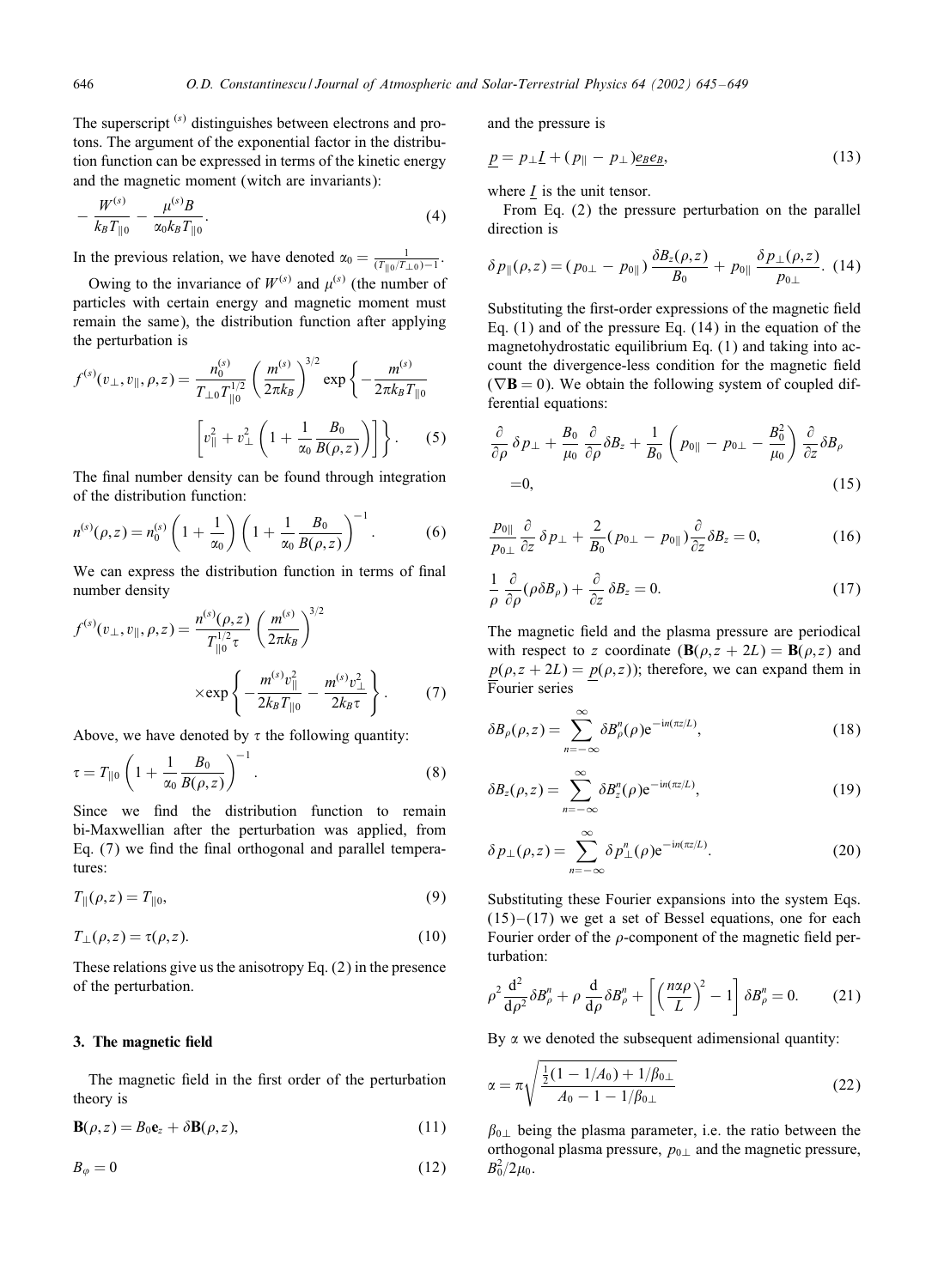The superscript  $(s)$  distinguishes between electrons and protons. The argument of the exponential factor in the distribution function can be expressed in terms of the kinetic energy and the magnetic moment (witch are invariants):

$$
-\frac{W^{(s)}}{k_B T_{\parallel 0}} - \frac{\mu^{(s)} B}{\alpha_0 k_B T_{\parallel 0}}.\tag{4}
$$

In the previous relation, we have denoted  $\alpha_0 = \frac{1}{(T_{\parallel 0}/T_{\perp 0})-1}$ .

Owing to the invariance of  $W^{(s)}$  and  $\mu^{(s)}$  (the number of particles with certain energy and magnetic moment must remain the same), the distribution function after applying the perturbation is

$$
f^{(s)}(v_{\perp}, v_{\parallel}, \rho, z) = \frac{n_0^{(s)}}{T_{\perp 0} T_{\parallel 0}^{1/2}} \left(\frac{m^{(s)}}{2\pi k_B}\right)^{3/2} \exp\left\{-\frac{m^{(s)}}{2\pi k_B T_{\parallel 0}}\right\}
$$

$$
\left[v_{\parallel}^2 + v_{\perp}^2 \left(1 + \frac{1}{\alpha_0} \frac{B_0}{B(\rho, z)}\right)\right]\right\}.
$$
 (5)

The final number density can be found through integration of the distribution function:

$$
n^{(s)}(\rho, z) = n_0^{(s)} \left( 1 + \frac{1}{\alpha_0} \right) \left( 1 + \frac{1}{\alpha_0} \frac{B_0}{B(\rho, z)} \right)^{-1}.
$$
 (6)

We can express the distribution function in terms of final number density

$$
f^{(s)}(v_{\perp}, v_{\parallel}, \rho, z) = \frac{n^{(s)}(\rho, z)}{T_{\parallel 0}^{1/2} \tau} \left(\frac{m^{(s)}}{2\pi k_B}\right)^{3/2}
$$

$$
\times \exp\left\{-\frac{m^{(s)}v_{\parallel}^2}{2k_B T_{\parallel 0}} - \frac{m^{(s)}v_{\perp}^2}{2k_B \tau}\right\}.
$$
(7)

Above, we have denoted by  $\tau$  the following quantity:

$$
\tau = T_{\parallel 0} \left( 1 + \frac{1}{\alpha_0} \frac{B_0}{B(\rho, z)} \right)^{-1} . \tag{8}
$$

Since we find the distribution function to remain bi-Maxwellian after the perturbation was applied, from Eq.  $(7)$  we find the final orthogonal and parallel temperatures:

$$
T_{\parallel}(\rho, z) = T_{\parallel 0},\tag{9}
$$

$$
T_{\perp}(\rho, z) = \tau(\rho, z). \tag{10}
$$

These relations give us the anisotropy Eq. (2) in the presence of the perturbation.

#### 3. The magnetic field

The magnetic field in the first order of the perturbation theory is

$$
\mathbf{B}(\rho, z) = B_0 \mathbf{e}_z + \delta \mathbf{B}(\rho, z), \tag{11}
$$

$$
B_{\varphi} = 0 \tag{12}
$$

and the pressure is

$$
\underline{p} = p_{\perp} \underline{I} + (p_{\parallel} - p_{\perp}) \underline{e_B e_B}, \tag{13}
$$

where  $I$  is the unit tensor.

From Eq. (2) the pressure perturbation on the parallel direction is

$$
\delta p_{\parallel}(\rho, z) = (p_{0\perp} - p_{0\parallel}) \frac{\delta B_z(\rho, z)}{B_0} + p_{0\parallel} \frac{\delta p_{\perp}(\rho, z)}{p_{0\perp}}.
$$
 (14)

Substituting the first-order expressions of the magnetic field Eq. (1) and of the pressure Eq. (14) in the equation of the magnetohydrostatic equilibrium Eq. (1) and taking into account the divergence-less condition for the magnetic field  $(\nabla \mathbf{B} = 0)$ . We obtain the following system of coupled differential equations:

$$
\frac{\partial}{\partial \rho} \delta p_{\perp} + \frac{B_0}{\mu_0} \frac{\partial}{\partial \rho} \delta B_z + \frac{1}{B_0} \left( p_{0\parallel} - p_{0\perp} - \frac{B_0^2}{\mu_0} \right) \frac{\partial}{\partial z} \delta B_\rho
$$
  
= 0, (15)

$$
\frac{p_{0\parallel}}{p_{0\perp}} \frac{\partial}{\partial z} \delta p_{\perp} + \frac{2}{B_0} (p_{0\perp} - p_{0\parallel}) \frac{\partial}{\partial z} \delta B_z = 0, \tag{16}
$$

$$
\frac{1}{\rho} \frac{\partial}{\partial \rho} (\rho \delta B_{\rho}) + \frac{\partial}{\partial z} \delta B_{z} = 0.
$$
 (17)

The magnetic field and the plasma pressure are periodical with respect to z coordinate  $(\mathbf{B}(\rho, z + 2L) = \mathbf{B}(\rho, z)$  and  $p(\rho, z + 2L) = p(\rho, z)$ ; therefore, we can expand them in Fourier series

$$
\delta B_{\rho}(\rho,z) = \sum_{n=-\infty}^{\infty} \delta B_{\rho}^{n}(\rho) e^{-in(\pi z/L)},
$$
\n(18)

$$
\delta B_z(\rho, z) = \sum_{n = -\infty}^{\infty} \delta B_z^n(\rho) e^{-in(\pi z/L)}, \qquad (19)
$$

$$
\delta p_{\perp}(\rho, z) = \sum_{n=-\infty}^{\infty} \delta p_{\perp}^{n}(\rho) e^{-in(\pi z/L)}.
$$
 (20)

Substituting these Fourier expansions into the system Eqs.  $(15)$  –  $(17)$  we get a set of Bessel equations, one for each Fourier order of the  $\rho$ -component of the magnetic field perturbation:

$$
\rho^2 \frac{d^2}{d\rho^2} \delta B''_{\rho} + \rho \frac{d}{d\rho} \delta B''_{\rho} + \left[ \left( \frac{n\alpha\rho}{L} \right)^2 - 1 \right] \delta B''_{\rho} = 0. \tag{21}
$$

By  $\alpha$  we denoted the subsequent adimensional quantity:

$$
\alpha = \pi \sqrt{\frac{\frac{1}{2}(1 - 1/A_0) + 1/\beta_{0\perp}}{A_0 - 1 - 1/\beta_{0\perp}}} \tag{22}
$$

 $\beta_{0\perp}$  being the plasma parameter, i.e. the ratio between the orthogonal plasma pressure,  $p_{0\perp}$  and the magnetic pressure,  $B_0^2/2\mu_0$ .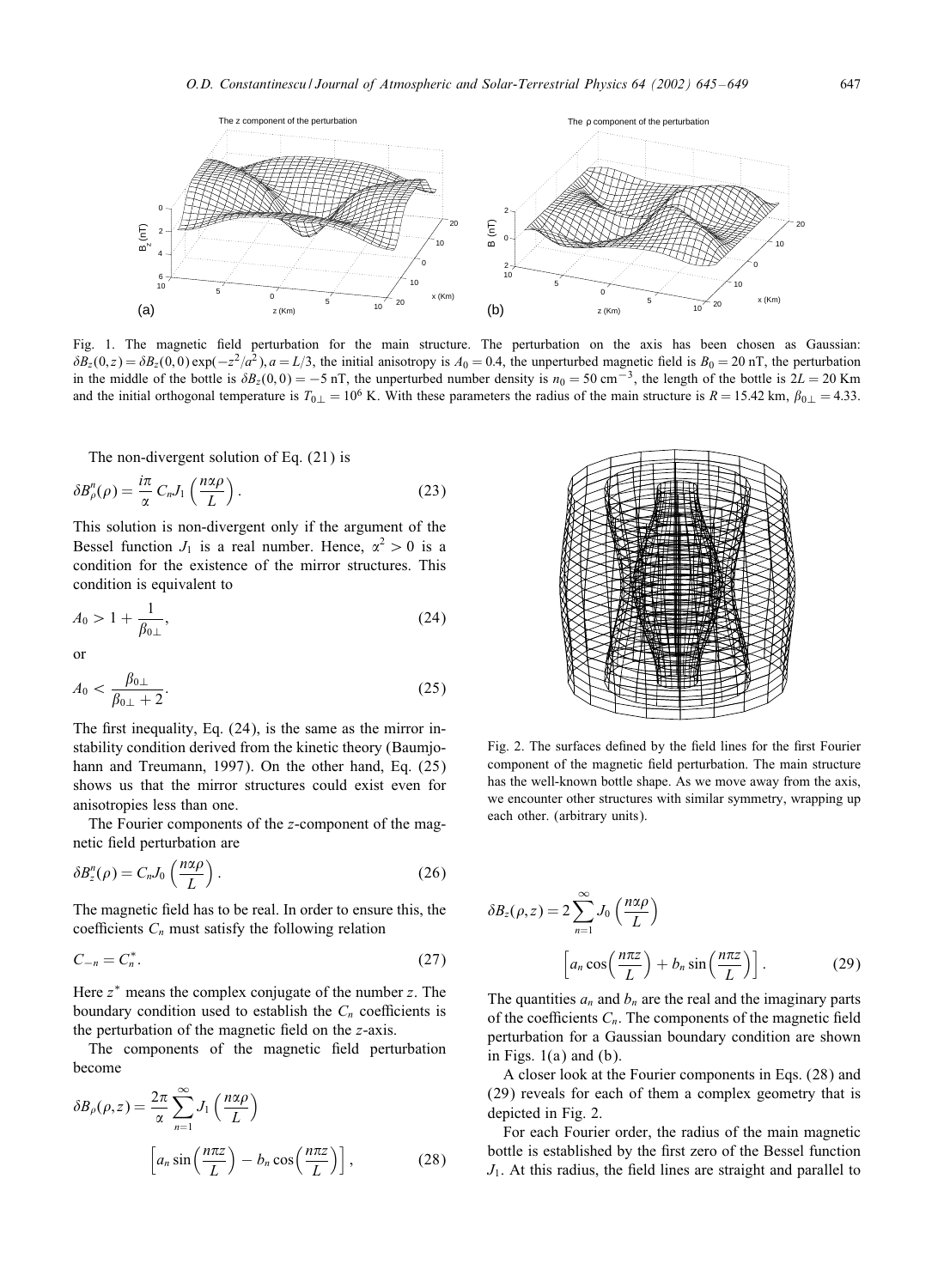

Fig. 1. The magnetic field perturbation for the main structure. The perturbation on the axis has been chosen as Gaussian:  $\delta B_z(0, z) = \delta B_z(0, 0) \exp(-z^2/a^2), a = L/3$ , the initial anisotropy is  $A_0 = 0.4$ , the unperturbed magnetic field is  $B_0 = 20$  nT, the perturbation in the middle of the bottle is  $\delta B_z(0,0) = -5$  nT, the unperturbed number density is  $n_0 = 50$  cm<sup>-3</sup>, the length of the bottle is 2L = 20 Km and the initial orthogonal temperature is  $T_{0\perp} = 10^6$  K. With these parameters the radius of the main structure is  $R = 15.42$  km,  $\beta_{0\perp} = 4.33$ .

The non-divergent solution of Eq. (21) is

$$
\delta B_{\rho}^{n}(\rho) = \frac{i\pi}{\alpha} C_{n} J_{1} \left( \frac{n\alpha \rho}{L} \right). \tag{23}
$$

This solution is non-divergent only if the argument of the Bessel function  $J_1$  is a real number. Hence,  $\alpha^2 > 0$  is a condition for the existence of the mirror structures. This condition is equivalent to

$$
A_0 > 1 + \frac{1}{\beta_{0\perp}},\tag{24}
$$

or

$$
A_0 < \frac{\beta_{0\perp}}{\beta_{0\perp} + 2}.\tag{25}
$$

The first inequality, Eq.  $(24)$ , is the same as the mirror instability condition derived from the kinetic theory (Baumjohann and Treumann, 1997). On the other hand, Eq. (25) shows us that the mirror structures could exist even for anisotropies less than one.

The Fourier components of the z-component of the magnetic field perturbation are

$$
\delta B_z^n(\rho) = C_n J_0 \left( \frac{n \alpha \rho}{L} \right). \tag{26}
$$

The magnetic field has to be real. In order to ensure this, the coefficients  $C_n$  must satisfy the following relation

$$
C_{-n} = C_n^*.\tag{27}
$$

Here  $z^*$  means the complex conjugate of the number  $z$ . The boundary condition used to establish the  $C_n$  coefficients is the perturbation of the magnetic field on the  $z$ -axis.

The components of the magnetic field perturbation become

$$
\delta B_{\rho}(\rho, z) = \frac{2\pi}{\alpha} \sum_{n=1}^{\infty} J_1\left(\frac{n\alpha\rho}{L}\right)
$$

$$
\left[a_n \sin\left(\frac{n\pi z}{L}\right) - b_n \cos\left(\frac{n\pi z}{L}\right)\right],
$$
(28)



Fig. 2. The surfaces defined by the field lines for the first Fourier component of the magnetic field perturbation. The main structure has the well-known bottle shape. As we move away from the axis, we encounter other structures with similar symmetry, wrapping up each other. (arbitrary units).

$$
\delta B_z(\rho, z) = 2 \sum_{n=1}^{\infty} J_0\left(\frac{n\alpha\rho}{L}\right)
$$

$$
\left[a_n \cos\left(\frac{n\pi z}{L}\right) + b_n \sin\left(\frac{n\pi z}{L}\right)\right].
$$
 (29)

The quantities  $a_n$  and  $b_n$  are the real and the imaginary parts of the coefficients  $C_n$ . The components of the magnetic field perturbation for a Gaussian boundary condition are shown in Figs.  $1(a)$  and  $(b)$ .

A closer look at the Fourier components in Eqs. (28) and (29) reveals for each of them a complex geometry that is depicted in Fig. 2.

For each Fourier order, the radius of the main magnetic bottle is established by the first zero of the Bessel function  $J_1$ . At this radius, the field lines are straight and parallel to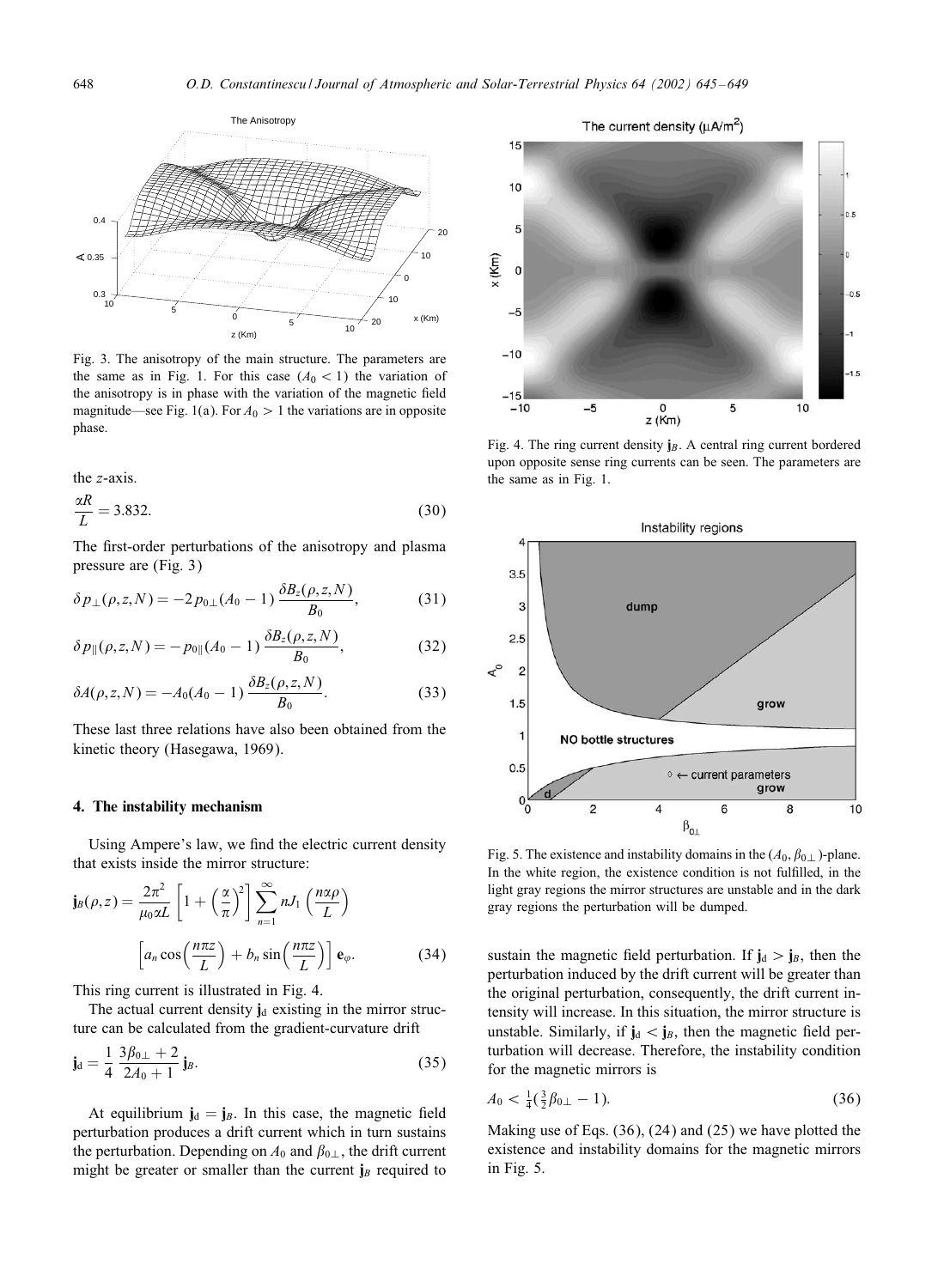

Fig. 3. The anisotropy of the main structure. The parameters are the same as in Fig. 1. For this case  $(A_0 < 1)$  the variation of the anisotropy is in phase with the variation of the magnetic field magnitude—see Fig. 1(a). For  $A_0 > 1$  the variations are in opposite phase.

the z-axis.

$$
\frac{\alpha R}{L} = 3.832.\t(30)
$$

The first-order perturbations of the anisotropy and plasma pressure are (Fig. 3)

$$
\delta p_{\perp}(\rho, z, N) = -2 p_{0\perp}(A_0 - 1) \frac{\delta B_z(\rho, z, N)}{B_0}, \tag{31}
$$

$$
\delta p_{\parallel}(\rho, z, N) = -p_{0\parallel}(A_0 - 1) \frac{\delta B_z(\rho, z, N)}{B_0}, \qquad (32)
$$

$$
\delta A(\rho, z, N) = -A_0 (A_0 - 1) \frac{\delta B_z(\rho, z, N)}{B_0}.
$$
 (33)

These last three relations have also been obtained from the kinetic theory (Hasegawa, 1969).

#### 4. The instability mechanism

Using Ampere's law, we find the electric current density that exists inside the mirror structure:

$$
\mathbf{j}_{B}(\rho,z) = \frac{2\pi^{2}}{\mu_{0}\alpha L} \left[ 1 + \left(\frac{\alpha}{\pi}\right)^{2} \right] \sum_{n=1}^{\infty} nJ_{1}\left(\frac{n\alpha\rho}{L}\right)
$$

$$
\left[ a_{n}\cos\left(\frac{n\pi z}{L}\right) + b_{n}\sin\left(\frac{n\pi z}{L}\right) \right] \mathbf{e}_{\varphi}.
$$
(34)

This ring current is illustrated in Fig. 4.

The actual current density  $\mathbf{j}_d$  existing in the mirror structure can be calculated from the gradient-curvature drift

$$
\mathbf{j_d} = \frac{1}{4} \frac{3\beta_{0\perp} + 2}{2A_0 + 1} \mathbf{j}_B.
$$
 (35)

At equilibrium  $\mathbf{j}_d = \mathbf{j}_B$ . In this case, the magnetic field perturbation produces a drift current which in turn sustains the perturbation. Depending on  $A_0$  and  $\beta_{0\perp}$ , the drift current might be greater or smaller than the current  $j_B$  required to



Fig. 4. The ring current density  $j_B$ . A central ring current bordered upon opposite sense ring currents can be seen. The parameters are the same as in Fig. 1.



Fig. 5. The existence and instability domains in the  $(A_0, \beta_{0\perp})$ -plane. In the white region, the existence condition is not fulfilled, in the light gray regions the mirror structures are unstable and in the dark gray regions the perturbation will be dumped.

sustain the magnetic field perturbation. If  $\mathbf{j}_d > \mathbf{j}_B$ , then the perturbation induced by the drift current will be greater than the original perturbation, consequently, the drift current intensity will increase. In this situation, the mirror structure is unstable. Similarly, if  $\mathbf{j}_d < \mathbf{j}_B$ , then the magnetic field perturbation will decrease. Therefore, the instability condition for the magnetic mirrors is

$$
A_0 < \frac{1}{4} \left( \frac{3}{2} \beta_{0\perp} - 1 \right). \tag{36}
$$

Making use of Eqs. (36), (24) and (25) we have plotted the existence and instability domains for the magnetic mirrors in Fig. 5.